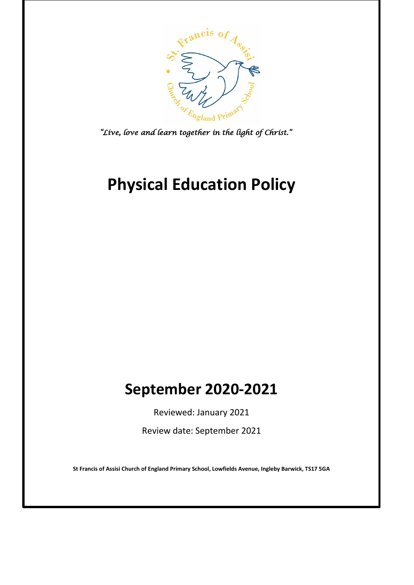

*"Live, love and learn together in the light of Christ."* 

# **Physical Education Policy**

# **September 2020-2021**

Reviewed: January 2021

Review date: September 2021

**St Francis of Assisi Church of England Primary School, Lowfields Avenue, Ingleby Barwick, TS17 5GA**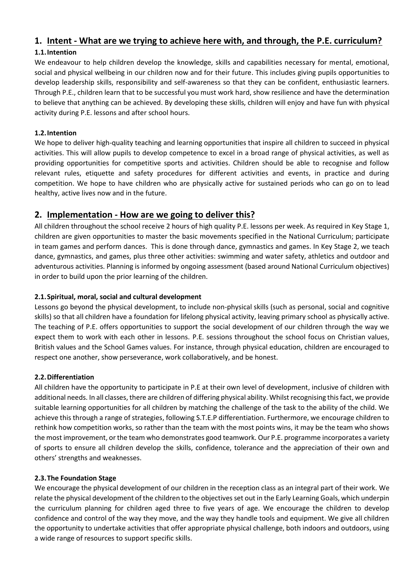# **1. Intent - What are we trying to achieve here with, and through, the P.E. curriculum?**

#### **1.1.Intention**

We endeavour to help children develop the knowledge, skills and capabilities necessary for mental, emotional, social and physical wellbeing in our children now and for their future. This includes giving pupils opportunities to develop leadership skills, responsibility and self-awareness so that they can be confident, enthusiastic learners. Through P.E., children learn that to be successful you must work hard, show resilience and have the determination to believe that anything can be achieved. By developing these skills, children will enjoy and have fun with physical activity during P.E. lessons and after school hours.

#### **1.2.Intention**

We hope to deliver high-quality teaching and learning opportunities that inspire all children to succeed in physical activities. This will allow pupils to develop competence to excel in a broad range of physical activities, as well as providing opportunities for competitive sports and activities. Children should be able to recognise and follow relevant rules, etiquette and safety procedures for different activities and events, in practice and during competition. We hope to have children who are physically active for sustained periods who can go on to lead healthy, active lives now and in the future.

### **2. Implementation - How are we going to deliver this?**

All children throughout the school receive 2 hours of high quality P.E. lessons per week. As required in Key Stage 1, children are given opportunities to master the basic movements specified in the National Curriculum; participate in team games and perform dances. This is done through dance, gymnastics and games. In Key Stage 2, we teach dance, gymnastics, and games, plus three other activities: swimming and water safety, athletics and outdoor and adventurous activities. Planning is informed by ongoing assessment (based around National Curriculum objectives) in order to build upon the prior learning of the children.

#### **2.1.Spiritual, moral, social and cultural development**

Lessons go beyond the physical development, to include non-physical skills (such as personal, social and cognitive skills) so that all children have a foundation for lifelong physical activity, leaving primary school as physically active. The teaching of P.E. offers opportunities to support the social development of our children through the way we expect them to work with each other in lessons. P.E. sessions throughout the school focus on Christian values, British values and the School Games values. For instance, through physical education, children are encouraged to respect one another, show perseverance, work collaboratively, and be honest.

#### **2.2.Differentiation**

All children have the opportunity to participate in P.E at their own level of development, inclusive of children with additional needs. In all classes, there are children of differing physical ability. Whilst recognising this fact, we provide suitable learning opportunities for all children by matching the challenge of the task to the ability of the child. We achieve this through a range of strategies, following S.T.E.P differentiation. Furthermore, we encourage children to rethink how competition works, so rather than the team with the most points wins, it may be the team who shows the most improvement, or the team who demonstrates good teamwork. Our P.E. programme incorporates a variety of sports to ensure all children develop the skills, confidence, tolerance and the appreciation of their own and others' strengths and weaknesses.

#### **2.3.The Foundation Stage**

We encourage the physical development of our children in the reception class as an integral part of their work. We relate the physical development of the children to the objectives set out in the Early Learning Goals, which underpin the curriculum planning for children aged three to five years of age. We encourage the children to develop confidence and control of the way they move, and the way they handle tools and equipment. We give all children the opportunity to undertake activities that offer appropriate physical challenge, both indoors and outdoors, using a wide range of resources to support specific skills.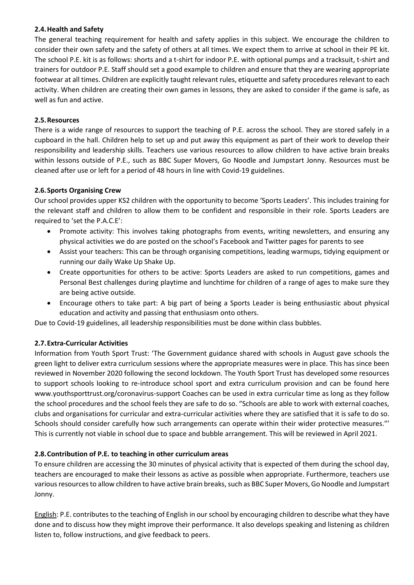#### **2.4.Health and Safety**

The general teaching requirement for health and safety applies in this subject. We encourage the children to consider their own safety and the safety of others at all times. We expect them to arrive at school in their PE kit. The school P.E. kit is as follows: shorts and a t-shirt for indoor P.E. with optional pumps and a tracksuit, t-shirt and trainers for outdoor P.E. Staff should set a good example to children and ensure that they are wearing appropriate footwear at all times. Children are explicitly taught relevant rules, etiquette and safety procedures relevant to each activity. When children are creating their own games in lessons, they are asked to consider if the game is safe, as well as fun and active.

#### **2.5.Resources**

There is a wide range of resources to support the teaching of P.E. across the school. They are stored safely in a cupboard in the hall. Children help to set up and put away this equipment as part of their work to develop their responsibility and leadership skills. Teachers use various resources to allow children to have active brain breaks within lessons outside of P.E., such as BBC Super Movers, Go Noodle and Jumpstart Jonny. Resources must be cleaned after use or left for a period of 48 hours in line with Covid-19 guidelines.

#### **2.6.Sports Organising Crew**

Our school provides upper KS2 children with the opportunity to become 'Sports Leaders'. This includes training for the relevant staff and children to allow them to be confident and responsible in their role. Sports Leaders are required to 'set the P.A.C.E':

- Promote activity: This involves taking photographs from events, writing newsletters, and ensuring any physical activities we do are posted on the school's Facebook and Twitter pages for parents to see
- Assist your teachers: This can be through organising competitions, leading warmups, tidying equipment or running our daily Wake Up Shake Up.
- Create opportunities for others to be active: Sports Leaders are asked to run competitions, games and Personal Best challenges during playtime and lunchtime for children of a range of ages to make sure they are being active outside.
- Encourage others to take part: A big part of being a Sports Leader is being enthusiastic about physical education and activity and passing that enthusiasm onto others.

Due to Covid-19 guidelines, all leadership responsibilities must be done within class bubbles.

#### **2.7.Extra-Curricular Activities**

Information from Youth Sport Trust: 'The Government guidance shared with schools in August gave schools the green light to deliver extra curriculum sessions where the appropriate measures were in place. This has since been reviewed in November 2020 following the second lockdown. The Youth Sport Trust has developed some resources to support schools looking to re-introduce school sport and extra curriculum provision and can be found here www.youthsporttrust.org/coronavirus-support Coaches can be used in extra curricular time as long as they follow the school procedures and the school feels they are safe to do so. "Schools are able to work with external coaches, clubs and organisations for curricular and extra-curricular activities where they are satisfied that it is safe to do so. Schools should consider carefully how such arrangements can operate within their wider protective measures."' This is currently not viable in school due to space and bubble arrangement. This will be reviewed in April 2021.

#### **2.8.Contribution of P.E. to teaching in other curriculum areas**

To ensure children are accessing the 30 minutes of physical activity that is expected of them during the school day, teachers are encouraged to make their lessons as active as possible when appropriate. Furthermore, teachers use various resources to allow children to have active brain breaks, such as BBC Super Movers, Go Noodle and Jumpstart Jonny.

English: P.E. contributes to the teaching of English in our school by encouraging children to describe what they have done and to discuss how they might improve their performance. It also develops speaking and listening as children listen to, follow instructions, and give feedback to peers.